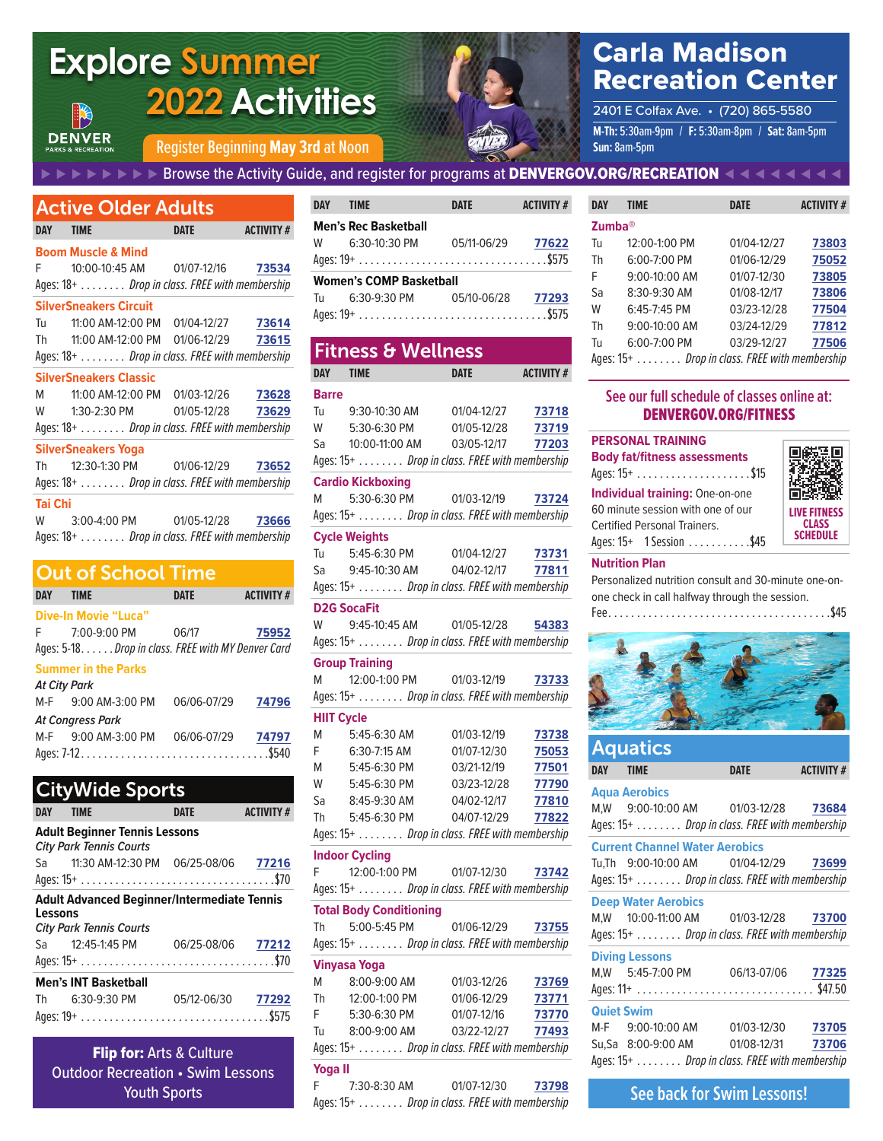# **Explore Summer 2022 Activities**



# Carla Madison Recreation Center

**M-Th:** 5:30am-9pm / **F:** 5:30am-8pm / **Sat:** 8am-5pm **Sun:** 8am-5pm 2401 E Colfax Ave. • (720) 865-5580

Register Beginning **May 3rd** at Noon

#### ⊲   ⊲   ⊲   ⊲   ⊲   ⊲   ⊲   ⊲   Browse the Activity Guide, and register for programs at DENVERGOV.ORG/RECREATION   ⊳   ⊳   ⊳   ⊳   ⊳   ⊳   ⊳   ⊳

| <b>Active Older Adults</b> |                                               |                   |                   |  |
|----------------------------|-----------------------------------------------|-------------------|-------------------|--|
| <b>DAY</b>                 | <b>TIME</b>                                   | <b>DATE</b>       | <b>ACTIVITY #</b> |  |
|                            | <b>Boom Muscle &amp; Mind</b>                 |                   |                   |  |
| F                          | 10:00-10:45 AM   01/07-12/16   73534          |                   |                   |  |
|                            | Ages: 18+ Drop in class. FREE with membership |                   |                   |  |
|                            | <b>SilverSneakers Circuit</b>                 |                   |                   |  |
|                            | Tu 11:00 AM-12:00 PM 01/04-12/27 73614        |                   |                   |  |
|                            | Th 11:00 AM-12:00 PM 01/06-12/29 73615        |                   |                   |  |
|                            | Ages: 18+ Drop in class. FREE with membership |                   |                   |  |
|                            | <b>SilverSneakers Classic</b>                 |                   |                   |  |
|                            | M 11:00 AM-12:00 PM 01/03-12/26 73628         |                   |                   |  |
|                            | W 1:30-2:30 PM                                | 01/05-12/28 73629 |                   |  |
|                            | Ages: 18+ Drop in class. FREE with membership |                   |                   |  |
|                            | SilverSneakers Yoga                           |                   |                   |  |
|                            | Th 12:30-1:30 PM 01/06-12/29 73652            |                   |                   |  |
|                            | Ages: 18+ Drop in class. FREE with membership |                   |                   |  |
| Tai Chi                    |                                               |                   |                   |  |
|                            | W 3:00-4:00 PM 01/05-12/28 73666              |                   |                   |  |
|                            | Ages: 18+ Drop in class. FREE with membership |                   |                   |  |

### Out of School Time

**DENVER** 

| <b>DAY</b>             | <b>TIME</b>                                         | DATE        | <b>ACTIVITY #</b> |  |
|------------------------|-----------------------------------------------------|-------------|-------------------|--|
|                        | Dive-In Movie "Luca"                                |             |                   |  |
| F                      | 7:00-9:00 PM                                        | 06/17       | 75952             |  |
|                        | Ages: 5-18. Drop in class. FREE with MY Denver Card |             |                   |  |
|                        | <b>Summer in the Parks</b>                          |             |                   |  |
|                        | <b>At City Park</b>                                 |             |                   |  |
|                        | M-F 9:00 AM-3:00 PM                                 | 06/06-07/29 | 74796             |  |
|                        | <b>At Congress Park</b>                             |             |                   |  |
|                        | $M-F = 9:00$ AM-3:00 PM                             | 06/06-07/29 | 74797             |  |
|                        |                                                     |             |                   |  |
|                        |                                                     |             |                   |  |
| <b>CityWide Sports</b> |                                                     |             |                   |  |
| DAY                    | TIMF                                                | DATF        |                   |  |

|         | <b>Adult Beginner Tennis Lessons</b><br><b>City Park Tennis Courts</b>               |   |  |
|---------|--------------------------------------------------------------------------------------|---|--|
|         | Sa 11:30 AM-12:30 PM 06/25-08/06 77216                                               |   |  |
|         |                                                                                      |   |  |
| Lessons | <b>Adult Advanced Beginner/Intermediate Tennis</b><br><b>City Park Tennis Courts</b> |   |  |
|         | Sa 12:45-1:45 PM 06/25-08/06 77212                                                   |   |  |
|         | <b>Men's INT Basketball</b>                                                          |   |  |
|         | Th 6:30-9:30 PM 05/12-06/30 77292                                                    |   |  |
|         |                                                                                      |   |  |
|         |                                                                                      | . |  |

**Flip for: Arts & Culture** Outdoor Recreation • Swim Lessons Youth Sports

| DAY TIME                       |                                   | <b>DATE</b> | <b>ACTIVITY #</b> |  |
|--------------------------------|-----------------------------------|-------------|-------------------|--|
|                                | <b>Men's Rec Basketball</b>       |             |                   |  |
|                                | W 6:30-10:30 PM                   | 05/11-06/29 | 77622             |  |
|                                |                                   |             |                   |  |
| <b>Women's COMP Basketball</b> |                                   |             |                   |  |
|                                | Tu 6:30-9:30 PM 05/10-06/28 77293 |             |                   |  |
|                                |                                   |             |                   |  |

## Fitness & Wellness

| DAY                | TIME                                           | <b>DATE</b> | <b>ACTIVITY#</b> |
|--------------------|------------------------------------------------|-------------|------------------|
| <b>Barre</b>       |                                                |             |                  |
| Тu                 | 9:30-10:30 AM                                  | 01/04-12/27 | 73718            |
| W                  | 5:30-6:30 PM                                   | 01/05-12/28 | 73719            |
| Sa                 | 10:00-11:00 AM                                 | 03/05-12/17 | 77203            |
|                    | Ages: 15+ Drop in class. FREE with membership  |             |                  |
|                    | <b>Cardio Kickboxing</b>                       |             |                  |
| Μ                  | 5:30-6:30 PM                                   | 01/03-12/19 | 73724            |
|                    | Ages: 15+ Drop in class. FREE with membership  |             |                  |
|                    | <b>Cycle Weights</b>                           |             |                  |
| Tu                 | 5:45-6:30 PM                                   | 01/04-12/27 | 73731            |
|                    | Sa 9:45-10:30 AM                               | 04/02-12/17 | 77811            |
|                    | Ages: 15+ Drop in class. FREE with membership  |             |                  |
| <b>D2G SocaFit</b> |                                                |             |                  |
| W                  | 9:45-10:45 AM                                  | 01/05-12/28 | 54383            |
|                    | Ages: 15+ Drop in class. FREE with membership  |             |                  |
|                    | <b>Group Training</b>                          |             |                  |
| M                  | 12:00-1:00 PM                                  | 01/03-12/19 | 73733            |
|                    | Ages: 15+ Drop in class. FREE with membership  |             |                  |
| <b>HIIT Cycle</b>  |                                                |             |                  |
| М                  | 5:45-6:30 AM                                   | 01/03-12/19 | 73738            |
| F.                 | 6:30-7:15 AM                                   | 01/07-12/30 | 75053            |
| M                  | 5:45-6:30 PM                                   | 03/21-12/19 | 77501            |
| W                  | 5:45-6:30 PM                                   | 03/23-12/28 | 77790            |
| Sa                 | 8:45-9:30 AM                                   | 04/02-12/17 | 77810            |
| Th                 | 5:45-6:30 PM                                   | 04/07-12/29 | 77822            |
|                    | Ages: 15+ Drop in class. FREE with membership  |             |                  |
|                    | <b>Indoor Cycling</b>                          |             |                  |
| F                  | 12:00-1:00 PM                                  | 01/07-12/30 | 73742            |
|                    | Ages: 15+  Drop in class. FREE with membership |             |                  |
|                    | <b>Total Body Conditioning</b>                 |             |                  |
| Th                 | 5:00-5:45 PM                                   | 01/06-12/29 | 73755            |
|                    | Ages: 15+ Drop in class. FREE with membership  |             |                  |
|                    | <b>Vinyasa Yoga</b>                            |             |                  |
| М                  | 8:00-9:00 AM                                   | 01/03-12/26 | 73769            |
| Th                 | 12:00-1:00 PM                                  | 01/06-12/29 | 73771            |
| F                  | 5:30-6:30 PM                                   | 01/07-12/16 | 73770            |
| Tu                 | 8:00-9:00 AM                                   | 03/22-12/27 | 77493            |
|                    | Ages: 15+ Drop in class. FREE with membership  |             |                  |
| <b>Yogall</b>      |                                                |             |                  |

| - F | 7:30-8:30 AM                                  | 01/07-12/30 | 73798 |
|-----|-----------------------------------------------|-------------|-------|
|     | Ages: 15+ Drop in class. FREE with membership |             |       |

| <b>DAY</b>         | TIME                                           | <b>DATE</b> | <b>ACTIVITY #</b> |
|--------------------|------------------------------------------------|-------------|-------------------|
| Zumba <sup>®</sup> |                                                |             |                   |
| Tu                 | 12:00-1:00 PM                                  | 01/04-12/27 | 73803             |
| Th                 | 6:00-7:00 PM                                   | 01/06-12/29 | 75052             |
| F                  | 9:00-10:00 AM                                  | 01/07-12/30 | 73805             |
| Sa                 | 8:30-9:30 AM                                   | 01/08-12/17 | 73806             |
| W                  | 6:45-7:45 PM                                   | 03/23-12/28 | 77504             |
| Th                 | $9:00-10:00$ AM                                | 03/24-12/29 | 77812             |
| Tu                 | 6:00-7:00 PM                                   | 03/29-12/27 | 77506             |
|                    | Ages: 15+  Drop in class. FREE with membership |             |                   |

#### **See our full schedule of classes online at:**  DENVERGOV.ORG/FITNESS

| <b>PERSONAL TRAINING</b>               |  |  |  |  |
|----------------------------------------|--|--|--|--|
| <b>Body fat/fitness assessments</b>    |  |  |  |  |
|                                        |  |  |  |  |
| <b>Individual training: One-on-one</b> |  |  |  |  |
| 60 minute session with one of our      |  |  |  |  |
| <b>Certified Personal Trainers.</b>    |  |  |  |  |
| Ages: 15+ 1 Session \$45               |  |  |  |  |



#### **Nutrition Plan**

Personalized nutrition consult and 30-minute one-onone check in call halfway through the session.

Fee . . . . . . . . . . . . . . . . . . . . . . . . . . . . . . . . . . . . . . \$45



| <b>Aquatics</b>                               |      |                   |
|-----------------------------------------------|------|-------------------|
| DAY TIME                                      | DATE | <b>ACTIVITY #</b> |
| <b>Agua Aerobics</b>                          |      |                   |
| M,W 9:00-10:00 AM 01/03-12/28 73684           |      |                   |
| Ages: 15+ Drop in class. FREE with membership |      |                   |
| <b>Current Channel Water Aerobics</b>         |      |                   |
| Tu, Th 9:00-10:00 AM 01/04-12/29 73699        |      |                   |
| Ages: 15+ Drop in class. FREE with membership |      |                   |
| <b>Deep Water Aerobics</b>                    |      |                   |
| M,W 10:00-11:00 AM 01/03-12/28 73700          |      |                   |
| Ages: 15+ Drop in class. FREE with membership |      |                   |
| <b>Diving Lessons</b>                         |      |                   |
| M,W 5:45-7:00 PM 06/13-07/06 77325            |      |                   |
|                                               |      |                   |
| <b>Quiet Swim</b>                             |      |                   |
| M-F 9:00-10:00 AM 01/03-12/30 73705           |      |                   |
| Su, Sa 8:00-9:00 AM 01/08-12/31 73706         |      |                   |
| Ages: 15+ Drop in class. FREE with membership |      |                   |

**See back for Swim Lessons!**